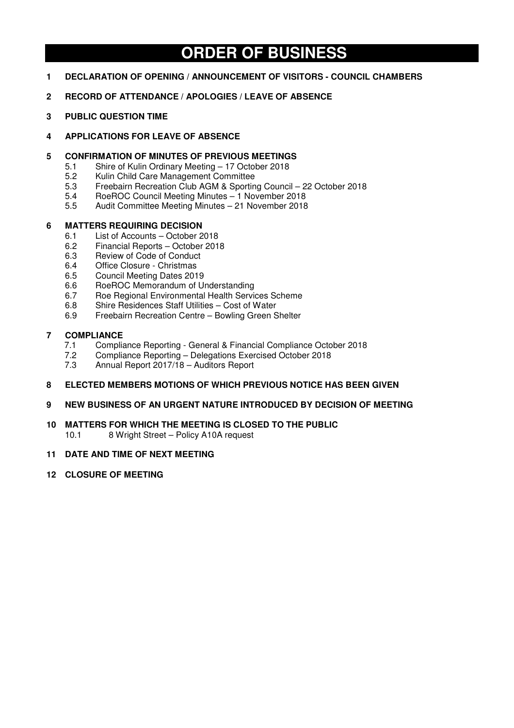# **ORDER OF BUSINESS**

- **1 DECLARATION OF OPENING / ANNOUNCEMENT OF VISITORS COUNCIL CHAMBERS**
- **2 RECORD OF ATTENDANCE / APOLOGIES / LEAVE OF ABSENCE**
- **3 PUBLIC QUESTION TIME**
- **4 APPLICATIONS FOR LEAVE OF ABSENCE**

## **5 CONFIRMATION OF MINUTES OF PREVIOUS MEETINGS**

- 5.1 Shire of Kulin Ordinary Meeting 17 October 2018<br>5.2 Kulin Child Care Management Committee
- 5.2 Kulin Child Care Management Committee
- 5.3 Freebairn Recreation Club AGM & Sporting Council 22 October 2018<br>5.4 RoeROC Council Meeting Minutes 1 November 2018
- 5.4 RoeROC Council Meeting Minutes 1 November 2018
- 5.5 Audit Committee Meeting Minutes 21 November 2018

## **6 MATTERS REQUIRING DECISION**

- 6.1 List of Accounts October 2018
- 6.2 Financial Reports October 2018<br>6.3 Review of Code of Conduct
- 6.3 Review of Code of Conduct
- 6.4 Office Closure Christmas
- 6.5 Council Meeting Dates 2019
- 6.6 RoeROC Memorandum of Understanding
- 6.7 Roe Regional Environmental Health Services Scheme
- 6.8 Shire Residences Staff Utilities Cost of Water
- 6.9 Freebairn Recreation Centre Bowling Green Shelter

# **7 COMPLIANCE**

- 7.1 Compliance Reporting General & Financial Compliance October 2018<br>7.2 Compliance Reporting Delegations Exercised October 2018
- 7.2 Compliance Reporting Delegations Exercised October 2018<br>7.3 Annual Report 2017/18 Auditors Report
- 7.3 Annual Report 2017/18 Auditors Report

## **8 ELECTED MEMBERS MOTIONS OF WHICH PREVIOUS NOTICE HAS BEEN GIVEN**

## **9 NEW BUSINESS OF AN URGENT NATURE INTRODUCED BY DECISION OF MEETING**

**10 MATTERS FOR WHICH THE MEETING IS CLOSED TO THE PUBLIC** 

10.1 8 Wright Street – Policy A10A request

## **11 DATE AND TIME OF NEXT MEETING**

**12 CLOSURE OF MEETING**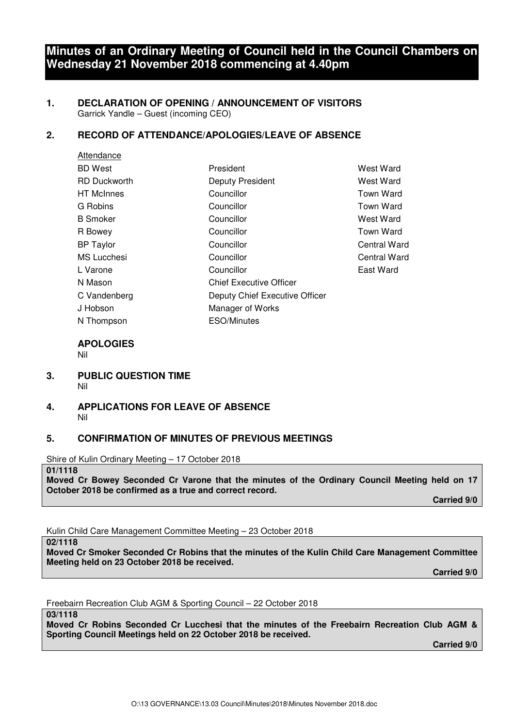## **Minutes of an Ordinary Meeting of Council held in the Council Chambers on Wednesday 21 November 2018 commencing at 4.40pm**

#### **1. DECLARATION OF OPENING / ANNOUNCEMENT OF VISITORS**  Garrick Yandle – Guest (incoming CEO)

## **2. RECORD OF ATTENDANCE/APOLOGIES/LEAVE OF ABSENCE**

| Attendance          |                                |              |
|---------------------|--------------------------------|--------------|
| <b>BD</b> West      | President                      | West Ward    |
| <b>RD Duckworth</b> | <b>Deputy President</b>        | West Ward    |
| <b>HT</b> McInnes   | Councillor                     | Town Ward    |
| G Robins            | Councillor                     | Town Ward    |
| <b>B</b> Smoker     | Councillor                     | West Ward    |
| R Bowey             | Councillor                     | Town Ward    |
| <b>BP</b> Taylor    | Councillor                     | Central Ward |
| <b>MS Lucchesi</b>  | Councillor                     | Central Ward |
| L Varone            | Councillor                     | East Ward    |
| N Mason             | <b>Chief Executive Officer</b> |              |
| C Vandenberg        | Deputy Chief Executive Officer |              |
| J Hobson            | Manager of Works               |              |
| N Thompson          | <b>ESO/Minutes</b>             |              |

#### **APOLOGIES**  Nil

- **3. PUBLIC QUESTION TIME**  Nil
- **4. APPLICATIONS FOR LEAVE OF ABSENCE**  Nil

## **5. CONFIRMATION OF MINUTES OF PREVIOUS MEETINGS**

Shire of Kulin Ordinary Meeting – 17 October 2018

**01/1118** 

**Moved Cr Bowey Seconded Cr Varone that the minutes of the Ordinary Council Meeting held on 17 October 2018 be confirmed as a true and correct record.** 

 **Carried 9/0** 

Kulin Child Care Management Committee Meeting – 23 October 2018

**02/1118** 

**Moved Cr Smoker Seconded Cr Robins that the minutes of the Kulin Child Care Management Committee Meeting held on 23 October 2018 be received.** 

 **Carried 9/0** 

Freebairn Recreation Club AGM & Sporting Council – 22 October 2018

**03/1118** 

**Moved Cr Robins Seconded Cr Lucchesi that the minutes of the Freebairn Recreation Club AGM & Sporting Council Meetings held on 22 October 2018 be received.**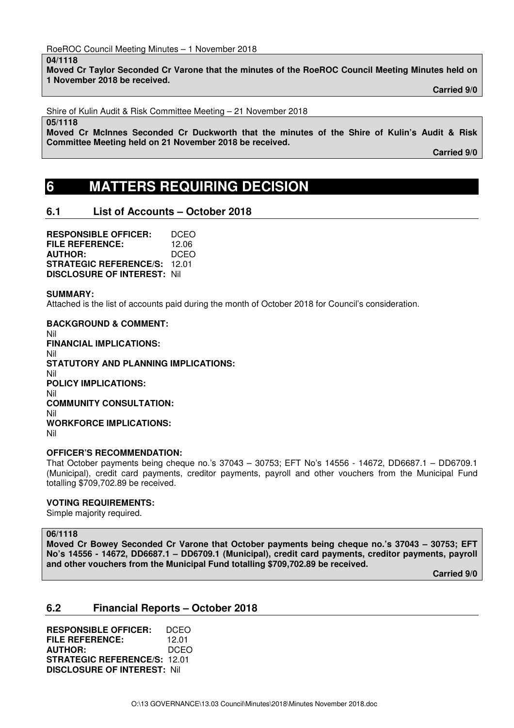#### **04/1118**

**Moved Cr Taylor Seconded Cr Varone that the minutes of the RoeROC Council Meeting Minutes held on 1 November 2018 be received.** 

 **Carried 9/0** 

Shire of Kulin Audit & Risk Committee Meeting – 21 November 2018

#### **05/1118**

**Moved Cr McInnes Seconded Cr Duckworth that the minutes of the Shire of Kulin's Audit & Risk Committee Meeting held on 21 November 2018 be received.** 

 **Carried 9/0** 

## **6 MATTERS REQUIRING DECISION**

## **6.1 List of Accounts – October 2018**

**RESPONSIBLE OFFICER:** DCEO **FILE REFERENCE:** 12.06 **AUTHOR:** DCEO **STRATEGIC REFERENCE/S:** 12.01 **DISCLOSURE OF INTEREST:** Nil

#### **SUMMARY:**

Attached is the list of accounts paid during the month of October 2018 for Council's consideration.

**BACKGROUND & COMMENT:**  Nil **FINANCIAL IMPLICATIONS:**  Nil **STATUTORY AND PLANNING IMPLICATIONS:**  Nil **POLICY IMPLICATIONS:**  Nil **COMMUNITY CONSULTATION:**  Nil **WORKFORCE IMPLICATIONS:**  Nil

## **OFFICER'S RECOMMENDATION:**

That October payments being cheque no.'s 37043 – 30753; EFT No's 14556 - 14672, DD6687.1 – DD6709.1 (Municipal), credit card payments, creditor payments, payroll and other vouchers from the Municipal Fund totalling \$709,702.89 be received.

## **VOTING REQUIREMENTS:**

Simple majority required.

## **06/1118**

**Moved Cr Bowey Seconded Cr Varone that October payments being cheque no.'s 37043 – 30753; EFT No's 14556 - 14672, DD6687.1 – DD6709.1 (Municipal), credit card payments, creditor payments, payroll and other vouchers from the Municipal Fund totalling \$709,702.89 be received.** 

 **Carried 9/0** 

## **6.2 Financial Reports – October 2018**

**RESPONSIBLE OFFICER:** DCEO **FILE REFERENCE:** 12.01 **AUTHOR:** DCEO **STRATEGIC REFERENCE/S:** 12.01 **DISCLOSURE OF INTEREST:** Nil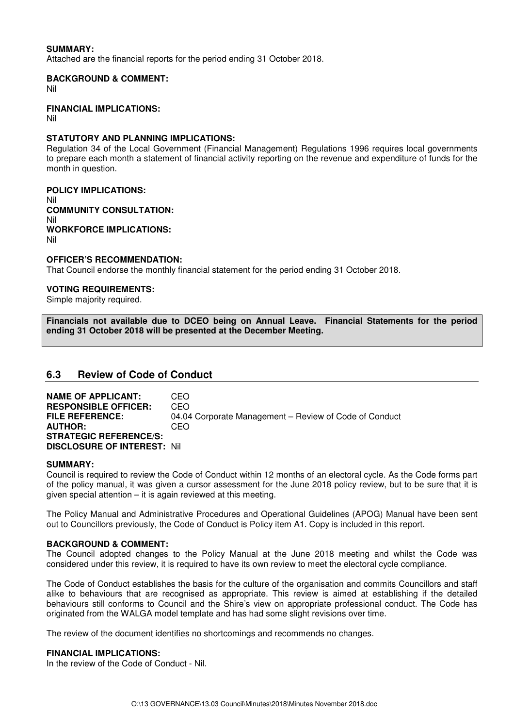### **SUMMARY:**

Attached are the financial reports for the period ending 31 October 2018.

#### **BACKGROUND & COMMENT:**

Nil

#### **FINANCIAL IMPLICATIONS:**

Nil

### **STATUTORY AND PLANNING IMPLICATIONS:**

Regulation 34 of the Local Government (Financial Management) Regulations 1996 requires local governments to prepare each month a statement of financial activity reporting on the revenue and expenditure of funds for the month in question.

**POLICY IMPLICATIONS:**  Nil **COMMUNITY CONSULTATION:**  Nil **WORKFORCE IMPLICATIONS:**  Nil

#### **OFFICER'S RECOMMENDATION:**

That Council endorse the monthly financial statement for the period ending 31 October 2018.

#### **VOTING REQUIREMENTS:**

Simple majority required.

**Financials not available due to DCEO being on Annual Leave. Financial Statements for the period ending 31 October 2018 will be presented at the December Meeting.** 

## **6.3 Review of Code of Conduct**

**NAME OF APPLICANT:** CEO **RESPONSIBLE OFFICER:** CEO **FILE REFERENCE:** 04.04 Corporate Management – Review of Code of Conduct **AUTHOR:** CEO **STRATEGIC REFERENCE/S: DISCLOSURE OF INTEREST:** Nil

#### **SUMMARY:**

Council is required to review the Code of Conduct within 12 months of an electoral cycle. As the Code forms part of the policy manual, it was given a cursor assessment for the June 2018 policy review, but to be sure that it is given special attention – it is again reviewed at this meeting.

The Policy Manual and Administrative Procedures and Operational Guidelines (APOG) Manual have been sent out to Councillors previously, the Code of Conduct is Policy item A1. Copy is included in this report.

#### **BACKGROUND & COMMENT:**

The Council adopted changes to the Policy Manual at the June 2018 meeting and whilst the Code was considered under this review, it is required to have its own review to meet the electoral cycle compliance.

The Code of Conduct establishes the basis for the culture of the organisation and commits Councillors and staff alike to behaviours that are recognised as appropriate. This review is aimed at establishing if the detailed behaviours still conforms to Council and the Shire's view on appropriate professional conduct. The Code has originated from the WALGA model template and has had some slight revisions over time.

The review of the document identifies no shortcomings and recommends no changes.

#### **FINANCIAL IMPLICATIONS:**

In the review of the Code of Conduct - Nil.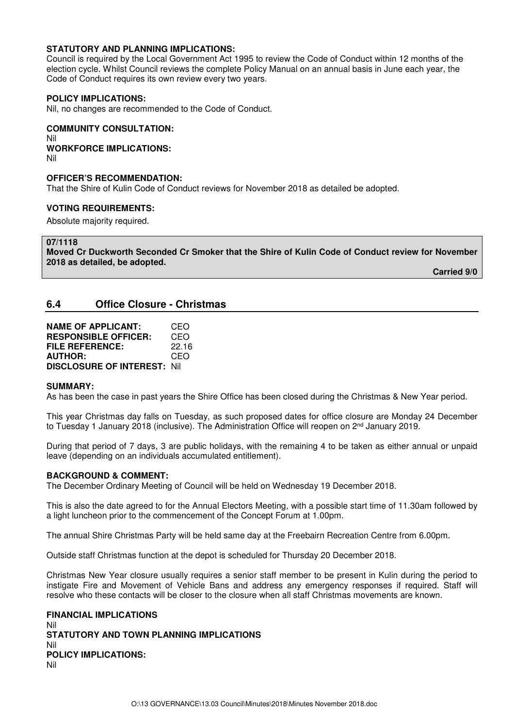### **STATUTORY AND PLANNING IMPLICATIONS:**

Council is required by the Local Government Act 1995 to review the Code of Conduct within 12 months of the election cycle. Whilst Council reviews the complete Policy Manual on an annual basis in June each year, the Code of Conduct requires its own review every two years.

#### **POLICY IMPLICATIONS:**

Nil, no changes are recommended to the Code of Conduct.

## **COMMUNITY CONSULTATION:** Nil

**WORKFORCE IMPLICATIONS:** Nil

#### **OFFICER'S RECOMMENDATION:**

That the Shire of Kulin Code of Conduct reviews for November 2018 as detailed be adopted.

#### **VOTING REQUIREMENTS:**

Absolute majority required.

**07/1118** 

**Moved Cr Duckworth Seconded Cr Smoker that the Shire of Kulin Code of Conduct review for November 2018 as detailed, be adopted.** 

 **Carried 9/0** 

## **6.4 Office Closure - Christmas**

| <b>NAME OF APPLICANT:</b>           | CEO   |
|-------------------------------------|-------|
| <b>RESPONSIBLE OFFICER:</b>         | CEO   |
| FILE REFERENCE:                     | 22.16 |
| <b>AUTHOR:</b>                      | CEO   |
| <b>DISCLOSURE OF INTEREST: Nill</b> |       |

#### **SUMMARY:**

As has been the case in past years the Shire Office has been closed during the Christmas & New Year period.

This year Christmas day falls on Tuesday, as such proposed dates for office closure are Monday 24 December to Tuesday 1 January 2018 (inclusive). The Administration Office will reopen on  $2<sup>nd</sup>$  January 2019.

During that period of 7 days, 3 are public holidays, with the remaining 4 to be taken as either annual or unpaid leave (depending on an individuals accumulated entitlement).

#### **BACKGROUND & COMMENT:**

The December Ordinary Meeting of Council will be held on Wednesday 19 December 2018.

This is also the date agreed to for the Annual Electors Meeting, with a possible start time of 11.30am followed by a light luncheon prior to the commencement of the Concept Forum at 1.00pm.

The annual Shire Christmas Party will be held same day at the Freebairn Recreation Centre from 6.00pm.

Outside staff Christmas function at the depot is scheduled for Thursday 20 December 2018.

Christmas New Year closure usually requires a senior staff member to be present in Kulin during the period to instigate Fire and Movement of Vehicle Bans and address any emergency responses if required. Staff will resolve who these contacts will be closer to the closure when all staff Christmas movements are known.

**FINANCIAL IMPLICATIONS**  Nil **STATUTORY AND TOWN PLANNING IMPLICATIONS**  Nil **POLICY IMPLICATIONS:** Nil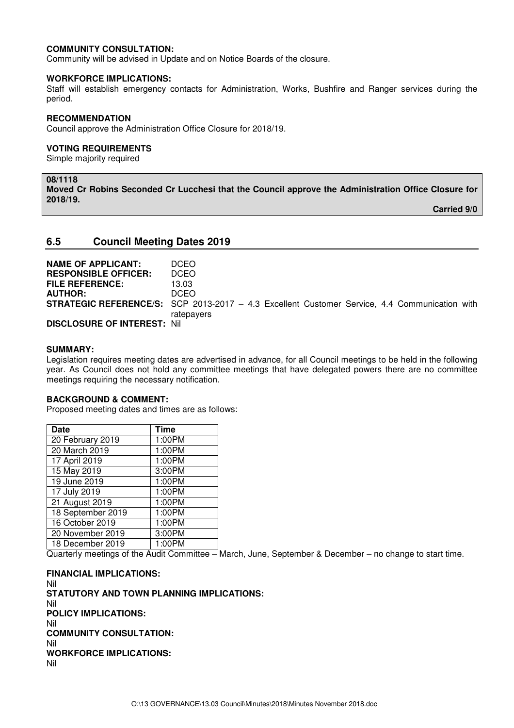#### **COMMUNITY CONSULTATION:**

Community will be advised in Update and on Notice Boards of the closure.

#### **WORKFORCE IMPLICATIONS:**

Staff will establish emergency contacts for Administration, Works, Bushfire and Ranger services during the period.

#### **RECOMMENDATION**

Council approve the Administration Office Closure for 2018/19.

#### **VOTING REQUIREMENTS**

Simple majority required

#### **08/1118**

**Moved Cr Robins Seconded Cr Lucchesi that the Council approve the Administration Office Closure for 2018/19.** 

 **Carried 9/0** 

## **6.5 Council Meeting Dates 2019**

| <b>NAME OF APPLICANT:</b>   | <b>DCEO</b>                                                                                          |
|-----------------------------|------------------------------------------------------------------------------------------------------|
| <b>RESPONSIBLE OFFICER:</b> | <b>DCEO</b>                                                                                          |
| <b>FILE REFERENCE:</b>      | 13.03                                                                                                |
| <b>AUTHOR:</b>              | DCEO.                                                                                                |
|                             | <b>STRATEGIC REFERENCE/S:</b> SCP 2013-2017 - 4.3 Excellent Customer Service, 4.4 Communication with |
|                             | ratepayers                                                                                           |
| DISCLOSURE OF INTEREST Nil  |                                                                                                      |

**DISCLOSURE OF INTEREST:** Nil

#### **SUMMARY:**

Legislation requires meeting dates are advertised in advance, for all Council meetings to be held in the following year. As Council does not hold any committee meetings that have delegated powers there are no committee meetings requiring the necessary notification.

#### **BACKGROUND & COMMENT:**

Proposed meeting dates and times are as follows:

| <b>Date</b>       | <b>Time</b> |
|-------------------|-------------|
| 20 February 2019  | 1:00PM      |
| 20 March 2019     | 1:00PM      |
| 17 April 2019     | 1:00PM      |
| 15 May 2019       | 3:00PM      |
| 19 June 2019      | 1:00PM      |
| 17 July 2019      | 1:00PM      |
| 21 August 2019    | 1:00PM      |
| 18 September 2019 | 1:00PM      |
| 16 October 2019   | 1:00PM      |
| 20 November 2019  | 3:00PM      |
| 18 December 2019  | 1:00PM      |

Quarterly meetings of the Audit Committee – March, June, September & December – no change to start time.

**FINANCIAL IMPLICATIONS:**  Nil **STATUTORY AND TOWN PLANNING IMPLICATIONS:**  Nil **POLICY IMPLICATIONS:** Nil **COMMUNITY CONSULTATION:** Nil **WORKFORCE IMPLICATIONS:** Nil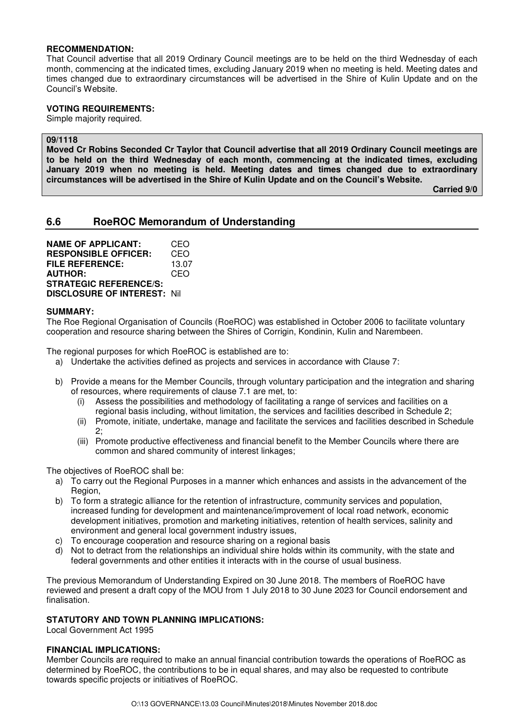#### **RECOMMENDATION:**

That Council advertise that all 2019 Ordinary Council meetings are to be held on the third Wednesday of each month, commencing at the indicated times, excluding January 2019 when no meeting is held. Meeting dates and times changed due to extraordinary circumstances will be advertised in the Shire of Kulin Update and on the Council's Website.

#### **VOTING REQUIREMENTS:**

Simple majority required.

## **09/1118**

**Moved Cr Robins Seconded Cr Taylor that Council advertise that all 2019 Ordinary Council meetings are to be held on the third Wednesday of each month, commencing at the indicated times, excluding January 2019 when no meeting is held. Meeting dates and times changed due to extraordinary circumstances will be advertised in the Shire of Kulin Update and on the Council's Website.** 

 **Carried 9/0** 

## **6.6 RoeROC Memorandum of Understanding**

**NAME OF APPLICANT:** CEO **RESPONSIBLE OFFICER:** CEO **FILE REFERENCE:** 13.07 **AUTHOR:** CEO **STRATEGIC REFERENCE/S: DISCLOSURE OF INTEREST:** Nil

#### **SUMMARY:**

The Roe Regional Organisation of Councils (RoeROC) was established in October 2006 to facilitate voluntary cooperation and resource sharing between the Shires of Corrigin, Kondinin, Kulin and Narembeen.

The regional purposes for which RoeROC is established are to:

- a) Undertake the activities defined as projects and services in accordance with Clause 7:
- b) Provide a means for the Member Councils, through voluntary participation and the integration and sharing of resources, where requirements of clause 7.1 are met, to:
	- (i) Assess the possibilities and methodology of facilitating a range of services and facilities on a regional basis including, without limitation, the services and facilities described in Schedule 2;
	- (ii) Promote, initiate, undertake, manage and facilitate the services and facilities described in Schedule  $\mathcal{P}$
	- (iii) Promote productive effectiveness and financial benefit to the Member Councils where there are common and shared community of interest linkages;

The objectives of RoeROC shall be:

- a) To carry out the Regional Purposes in a manner which enhances and assists in the advancement of the Region,
- b) To form a strategic alliance for the retention of infrastructure, community services and population, increased funding for development and maintenance/improvement of local road network, economic development initiatives, promotion and marketing initiatives, retention of health services, salinity and environment and general local government industry issues,
- c) To encourage cooperation and resource sharing on a regional basis
- d) Not to detract from the relationships an individual shire holds within its community, with the state and federal governments and other entities it interacts with in the course of usual business.

The previous Memorandum of Understanding Expired on 30 June 2018. The members of RoeROC have reviewed and present a draft copy of the MOU from 1 July 2018 to 30 June 2023 for Council endorsement and finalisation.

#### **STATUTORY AND TOWN PLANNING IMPLICATIONS:**

Local Government Act 1995

#### **FINANCIAL IMPLICATIONS:**

Member Councils are required to make an annual financial contribution towards the operations of RoeROC as determined by RoeROC, the contributions to be in equal shares, and may also be requested to contribute towards specific projects or initiatives of RoeROC.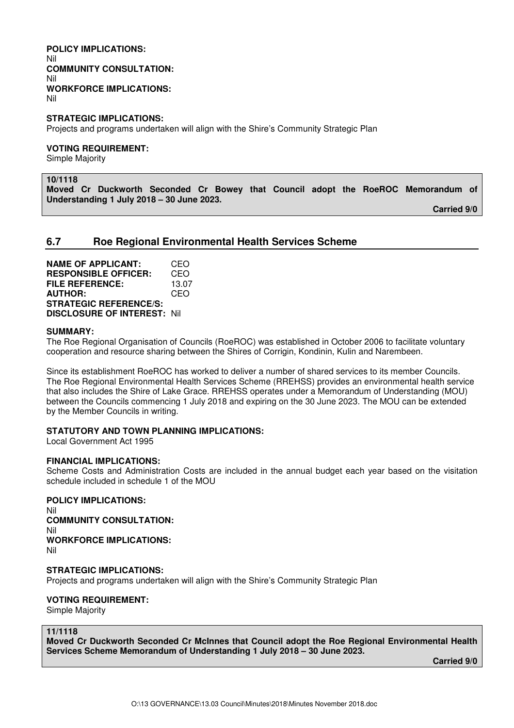#### **POLICY IMPLICATIONS:**  Nil **COMMUNITY CONSULTATION:** Nil **WORKFORCE IMPLICATIONS:** Nil

**STRATEGIC IMPLICATIONS:** 

Projects and programs undertaken will align with the Shire's Community Strategic Plan

#### **VOTING REQUIREMENT:**

Simple Majority

**10/1118** 

**Moved Cr Duckworth Seconded Cr Bowey that Council adopt the RoeROC Memorandum of Understanding 1 July 2018 – 30 June 2023.** 

 **Carried 9/0** 

## **6.7 Roe Regional Environmental Health Services Scheme**

**NAME OF APPLICANT:** CEO **RESPONSIBLE OFFICER:** CEO **FILE REFERENCE:** 13.07 **AUTHOR:** CEO **STRATEGIC REFERENCE/S: DISCLOSURE OF INTEREST:** Nil

#### **SUMMARY:**

The Roe Regional Organisation of Councils (RoeROC) was established in October 2006 to facilitate voluntary cooperation and resource sharing between the Shires of Corrigin, Kondinin, Kulin and Narembeen.

Since its establishment RoeROC has worked to deliver a number of shared services to its member Councils. The Roe Regional Environmental Health Services Scheme (RREHSS) provides an environmental health service that also includes the Shire of Lake Grace. RREHSS operates under a Memorandum of Understanding (MOU) between the Councils commencing 1 July 2018 and expiring on the 30 June 2023. The MOU can be extended by the Member Councils in writing.

## **STATUTORY AND TOWN PLANNING IMPLICATIONS:**

Local Government Act 1995

#### **FINANCIAL IMPLICATIONS:**

Scheme Costs and Administration Costs are included in the annual budget each year based on the visitation schedule included in schedule 1 of the MOU

**POLICY IMPLICATIONS:**

Nil **COMMUNITY CONSULTATION:** Nil **WORKFORCE IMPLICATIONS:** Nil

#### **STRATEGIC IMPLICATIONS:**

Projects and programs undertaken will align with the Shire's Community Strategic Plan

### **VOTING REQUIREMENT:**

Simple Majority

#### **11/1118**

**Moved Cr Duckworth Seconded Cr McInnes that Council adopt the Roe Regional Environmental Health Services Scheme Memorandum of Understanding 1 July 2018 – 30 June 2023.**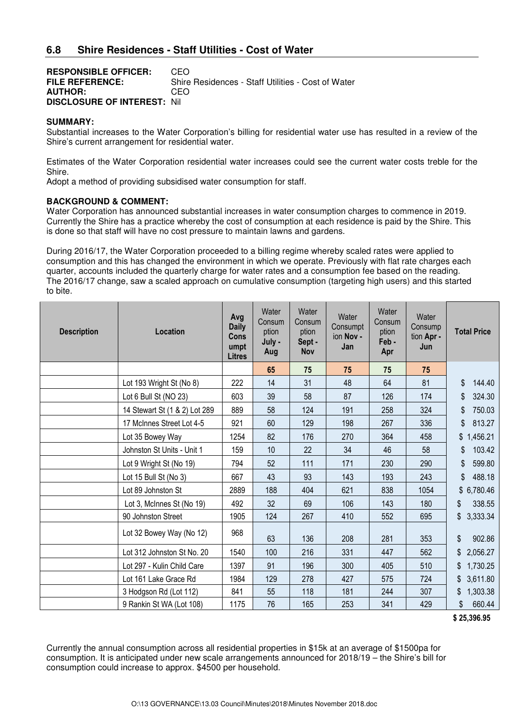| <b>RESPONSIBLE OFFICER:</b>        | CEO.                                               |
|------------------------------------|----------------------------------------------------|
| <b>FILE REFERENCE:</b>             | Shire Residences - Staff Utilities - Cost of Water |
| <b>AUTHOR:</b>                     | CEO.                                               |
| <b>DISCLOSURE OF INTEREST: Nil</b> |                                                    |

#### **SUMMARY:**

Substantial increases to the Water Corporation's billing for residential water use has resulted in a review of the Shire's current arrangement for residential water.

Estimates of the Water Corporation residential water increases could see the current water costs treble for the Shire.

Adopt a method of providing subsidised water consumption for staff.

#### **BACKGROUND & COMMENT:**

Water Corporation has announced substantial increases in water consumption charges to commence in 2019. Currently the Shire has a practice whereby the cost of consumption at each residence is paid by the Shire. This is done so that staff will have no cost pressure to maintain lawns and gardens.

During 2016/17, the Water Corporation proceeded to a billing regime whereby scaled rates were applied to consumption and this has changed the environment in which we operate. Previously with flat rate charges each quarter, accounts included the quarterly charge for water rates and a consumption fee based on the reading. The 2016/17 change, saw a scaled approach on cumulative consumption (targeting high users) and this started to bite.

| <b>Description</b> | Location                      | Avg<br><b>Daily</b><br>Cons<br>umpt<br><b>Litres</b> | Water<br>Consum<br>ption<br>July -<br>Aug | Water<br>Consum<br>ption<br>Sept -<br>Nov | Water<br>Consumpt<br>ion Nov -<br>Jan | Water<br>Consum<br>ption<br>Feb-<br>Apr | Water<br>Consump<br>tion Apr -<br>Jun | <b>Total Price</b> |
|--------------------|-------------------------------|------------------------------------------------------|-------------------------------------------|-------------------------------------------|---------------------------------------|-----------------------------------------|---------------------------------------|--------------------|
|                    |                               |                                                      | 65                                        | 75                                        | 75                                    | 75                                      | 75                                    |                    |
|                    | Lot 193 Wright St (No 8)      | 222                                                  | 14                                        | 31                                        | 48                                    | 64                                      | 81                                    | 144.40<br>\$       |
|                    | Lot 6 Bull St (NO 23)         | 603                                                  | 39                                        | 58                                        | 87                                    | 126                                     | 174                                   | \$<br>324.30       |
|                    | 14 Stewart St (1 & 2) Lot 289 | 889                                                  | 58                                        | 124                                       | 191                                   | 258                                     | 324                                   | 750.03<br>\$       |
|                    | 17 McInnes Street Lot 4-5     | 921                                                  | 60                                        | 129                                       | 198                                   | 267                                     | 336                                   | 813.27<br>\$       |
|                    | Lot 35 Bowey Way              | 1254                                                 | 82                                        | 176                                       | 270                                   | 364                                     | 458                                   | 1,456.21<br>\$     |
|                    | Johnston St Units - Unit 1    | 159                                                  | 10                                        | 22                                        | 34                                    | 46                                      | 58                                    | 103.42<br>\$       |
|                    | Lot 9 Wright St (No 19)       | 794                                                  | 52                                        | 111                                       | 171                                   | 230                                     | 290                                   | 599.80<br>\$       |
|                    | Lot 15 Bull St (No 3)         | 667                                                  | 43                                        | 93                                        | 143                                   | 193                                     | 243                                   | 488.18<br>\$       |
|                    | Lot 89 Johnston St            | 2889                                                 | 188                                       | 404                                       | 621                                   | 838                                     | 1054                                  | \$6,780.46         |
|                    | Lot 3, McInnes St (No 19)     | 492                                                  | 32                                        | 69                                        | 106                                   | 143                                     | 180                                   | 338.55<br>\$       |
|                    | 90 Johnston Street            | 1905                                                 | 124                                       | 267                                       | 410                                   | 552                                     | 695                                   | 3,333.34<br>\$     |
|                    | Lot 32 Bowey Way (No 12)      | 968                                                  | 63                                        | 136                                       | 208                                   | 281                                     | 353                                   | \$<br>902.86       |
|                    | Lot 312 Johnston St No. 20    | 1540                                                 | 100                                       | 216                                       | 331                                   | 447                                     | 562                                   | 2,056.27<br>\$     |
|                    | Lot 297 - Kulin Child Care    | 1397                                                 | 91                                        | 196                                       | 300                                   | 405                                     | 510                                   | 1,730.25           |
|                    | Lot 161 Lake Grace Rd         | 1984                                                 | 129                                       | 278                                       | 427                                   | 575                                     | 724                                   | 3,611.80<br>\$     |
|                    | 3 Hodgson Rd (Lot 112)        | 841                                                  | 55                                        | 118                                       | 181                                   | 244                                     | 307                                   | 1,303.38<br>\$     |
|                    | 9 Rankin St WA (Lot 108)      | 1175                                                 | 76                                        | 165                                       | 253                                   | 341                                     | 429                                   | 660.44<br>\$       |

 **\$ 25,396.95** 

Currently the annual consumption across all residential properties in \$15k at an average of \$1500pa for consumption. It is anticipated under new scale arrangements announced for 2018/19 – the Shire's bill for consumption could increase to approx. \$4500 per household.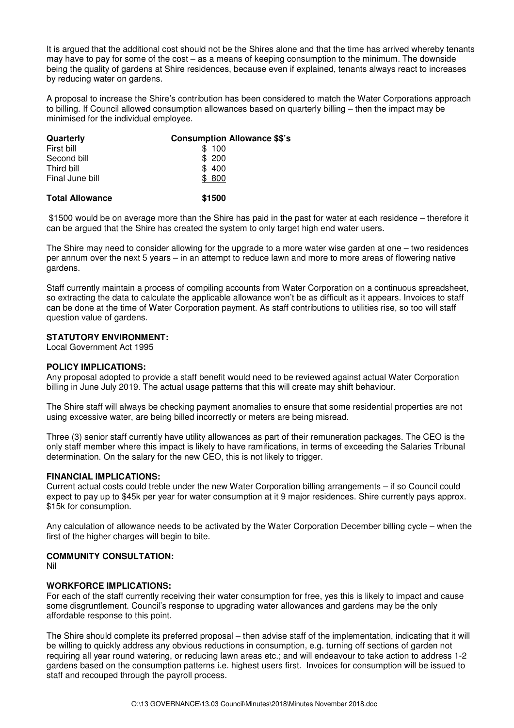It is argued that the additional cost should not be the Shires alone and that the time has arrived whereby tenants may have to pay for some of the cost – as a means of keeping consumption to the minimum. The downside being the quality of gardens at Shire residences, because even if explained, tenants always react to increases by reducing water on gardens.

A proposal to increase the Shire's contribution has been considered to match the Water Corporations approach to billing. If Council allowed consumption allowances based on quarterly billing – then the impact may be minimised for the individual employee.

| Quarterly              | <b>Consumption Allowance \$\$'s</b> |
|------------------------|-------------------------------------|
| First bill             | \$100                               |
| Second bill            | \$200                               |
| Third bill             | \$400                               |
| Final June bill        | \$800                               |
| <b>Total Allowance</b> | \$1500                              |

 \$1500 would be on average more than the Shire has paid in the past for water at each residence – therefore it can be argued that the Shire has created the system to only target high end water users.

The Shire may need to consider allowing for the upgrade to a more water wise garden at one – two residences per annum over the next 5 years – in an attempt to reduce lawn and more to more areas of flowering native gardens.

Staff currently maintain a process of compiling accounts from Water Corporation on a continuous spreadsheet, so extracting the data to calculate the applicable allowance won't be as difficult as it appears. Invoices to staff can be done at the time of Water Corporation payment. As staff contributions to utilities rise, so too will staff question value of gardens.

#### **STATUTORY ENVIRONMENT:**

Local Government Act 1995

#### **POLICY IMPLICATIONS:**

Any proposal adopted to provide a staff benefit would need to be reviewed against actual Water Corporation billing in June July 2019. The actual usage patterns that this will create may shift behaviour.

The Shire staff will always be checking payment anomalies to ensure that some residential properties are not using excessive water, are being billed incorrectly or meters are being misread.

Three (3) senior staff currently have utility allowances as part of their remuneration packages. The CEO is the only staff member where this impact is likely to have ramifications, in terms of exceeding the Salaries Tribunal determination. On the salary for the new CEO, this is not likely to trigger.

#### **FINANCIAL IMPLICATIONS:**

Current actual costs could treble under the new Water Corporation billing arrangements – if so Council could expect to pay up to \$45k per year for water consumption at it 9 major residences. Shire currently pays approx. \$15k for consumption.

Any calculation of allowance needs to be activated by the Water Corporation December billing cycle – when the first of the higher charges will begin to bite.

### **COMMUNITY CONSULTATION:**

Nil

#### **WORKFORCE IMPLICATIONS:**

For each of the staff currently receiving their water consumption for free, yes this is likely to impact and cause some disgruntlement. Council's response to upgrading water allowances and gardens may be the only affordable response to this point.

The Shire should complete its preferred proposal – then advise staff of the implementation, indicating that it will be willing to quickly address any obvious reductions in consumption, e.g. turning off sections of garden not requiring all year round watering, or reducing lawn areas etc.; and will endeavour to take action to address 1-2 gardens based on the consumption patterns i.e. highest users first. Invoices for consumption will be issued to staff and recouped through the payroll process.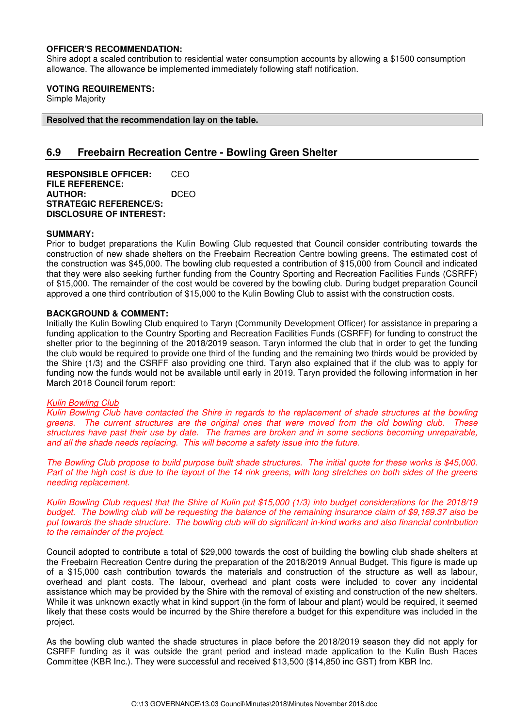#### **OFFICER'S RECOMMENDATION:**

Shire adopt a scaled contribution to residential water consumption accounts by allowing a \$1500 consumption allowance. The allowance be implemented immediately following staff notification.

#### **VOTING REQUIREMENTS:**

Simple Majority

**Resolved that the recommendation lay on the table.** 

## **6.9 Freebairn Recreation Centre - Bowling Green Shelter**

**RESPONSIBLE OFFICER:** CEO **FILE REFERENCE: AUTHOR: D**CEO **STRATEGIC REFERENCE/S: DISCLOSURE OF INTEREST:** 

#### **SUMMARY:**

Prior to budget preparations the Kulin Bowling Club requested that Council consider contributing towards the construction of new shade shelters on the Freebairn Recreation Centre bowling greens. The estimated cost of the construction was \$45,000. The bowling club requested a contribution of \$15,000 from Council and indicated that they were also seeking further funding from the Country Sporting and Recreation Facilities Funds (CSRFF) of \$15,000. The remainder of the cost would be covered by the bowling club. During budget preparation Council approved a one third contribution of \$15,000 to the Kulin Bowling Club to assist with the construction costs.

#### **BACKGROUND & COMMENT:**

Initially the Kulin Bowling Club enquired to Taryn (Community Development Officer) for assistance in preparing a funding application to the Country Sporting and Recreation Facilities Funds (CSRFF) for funding to construct the shelter prior to the beginning of the 2018/2019 season. Taryn informed the club that in order to get the funding the club would be required to provide one third of the funding and the remaining two thirds would be provided by the Shire (1/3) and the CSRFF also providing one third. Taryn also explained that if the club was to apply for funding now the funds would not be available until early in 2019. Taryn provided the following information in her March 2018 Council forum report:

#### Kulin Bowling Club

Kulin Bowling Club have contacted the Shire in regards to the replacement of shade structures at the bowling greens. The current structures are the original ones that were moved from the old bowling club. These structures have past their use by date. The frames are broken and in some sections becoming unrepairable, and all the shade needs replacing. This will become a safety issue into the future.

The Bowling Club propose to build purpose built shade structures. The initial quote for these works is \$45,000. Part of the high cost is due to the layout of the 14 rink greens, with long stretches on both sides of the greens needing replacement.

Kulin Bowling Club request that the Shire of Kulin put \$15,000 (1/3) into budget considerations for the 2018/19 budget. The bowling club will be requesting the balance of the remaining insurance claim of \$9,169.37 also be put towards the shade structure. The bowling club will do significant in-kind works and also financial contribution to the remainder of the project.

Council adopted to contribute a total of \$29,000 towards the cost of building the bowling club shade shelters at the Freebairn Recreation Centre during the preparation of the 2018/2019 Annual Budget. This figure is made up of a \$15,000 cash contribution towards the materials and construction of the structure as well as labour, overhead and plant costs. The labour, overhead and plant costs were included to cover any incidental assistance which may be provided by the Shire with the removal of existing and construction of the new shelters. While it was unknown exactly what in kind support (in the form of labour and plant) would be required, it seemed likely that these costs would be incurred by the Shire therefore a budget for this expenditure was included in the project.

As the bowling club wanted the shade structures in place before the 2018/2019 season they did not apply for CSRFF funding as it was outside the grant period and instead made application to the Kulin Bush Races Committee (KBR Inc.). They were successful and received \$13,500 (\$14,850 inc GST) from KBR Inc.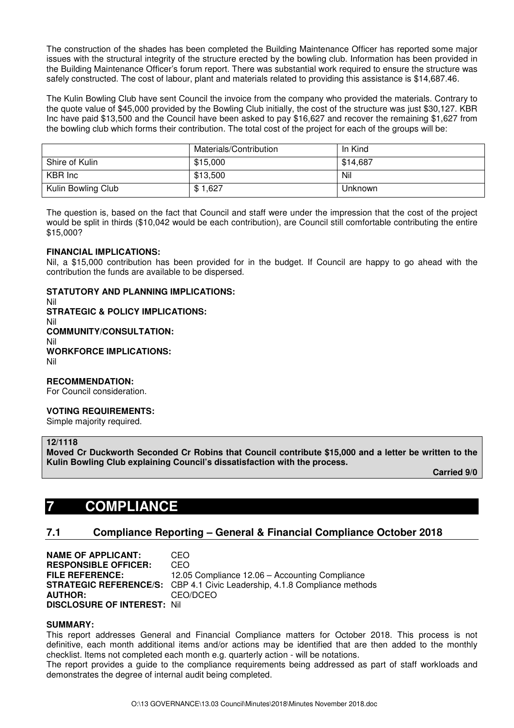The construction of the shades has been completed the Building Maintenance Officer has reported some major issues with the structural integrity of the structure erected by the bowling club. Information has been provided in the Building Maintenance Officer's forum report. There was substantial work required to ensure the structure was safely constructed. The cost of labour, plant and materials related to providing this assistance is \$14,687.46.

The Kulin Bowling Club have sent Council the invoice from the company who provided the materials. Contrary to the quote value of \$45,000 provided by the Bowling Club initially, the cost of the structure was just \$30,127. KBR Inc have paid \$13,500 and the Council have been asked to pay \$16,627 and recover the remaining \$1,627 from the bowling club which forms their contribution. The total cost of the project for each of the groups will be:

|                    | Materials/Contribution | In Kind  |
|--------------------|------------------------|----------|
| Shire of Kulin     | \$15,000               | \$14,687 |
| KBR Inc            | \$13,500               | Nil      |
| Kulin Bowling Club | \$1,627                | Unknown  |

The question is, based on the fact that Council and staff were under the impression that the cost of the project would be split in thirds (\$10,042 would be each contribution), are Council still comfortable contributing the entire \$15,000?

#### **FINANCIAL IMPLICATIONS:**

Nil, a \$15,000 contribution has been provided for in the budget. If Council are happy to go ahead with the contribution the funds are available to be dispersed.

### **STATUTORY AND PLANNING IMPLICATIONS:**

Nil **STRATEGIC & POLICY IMPLICATIONS:**  Nil **COMMUNITY/CONSULTATION:**  Nil **WORKFORCE IMPLICATIONS:**  Nil

#### **RECOMMENDATION:**

For Council consideration.

#### **VOTING REQUIREMENTS:**

Simple majority required.

## **12/1118**

**Moved Cr Duckworth Seconded Cr Robins that Council contribute \$15,000 and a letter be written to the Kulin Bowling Club explaining Council's dissatisfaction with the process.** 

 **Carried 9/0** 

## **7 COMPLIANCE**

## **7.1 Compliance Reporting – General & Financial Compliance October 2018**

**NAME OF APPLICANT:** CEO **RESPONSIBLE OFFICER:** CEO **FILE REFERENCE:** 12.05 Compliance 12.06 – Accounting Compliance **STRATEGIC REFERENCE/S:** CBP 4.1 Civic Leadership, 4.1.8 Compliance methods **AUTHOR:** CEO/DCEO **DISCLOSURE OF INTEREST:** Nil

#### **SUMMARY:**

This report addresses General and Financial Compliance matters for October 2018. This process is not definitive, each month additional items and/or actions may be identified that are then added to the monthly checklist. Items not completed each month e.g. quarterly action - will be notations.

The report provides a guide to the compliance requirements being addressed as part of staff workloads and demonstrates the degree of internal audit being completed.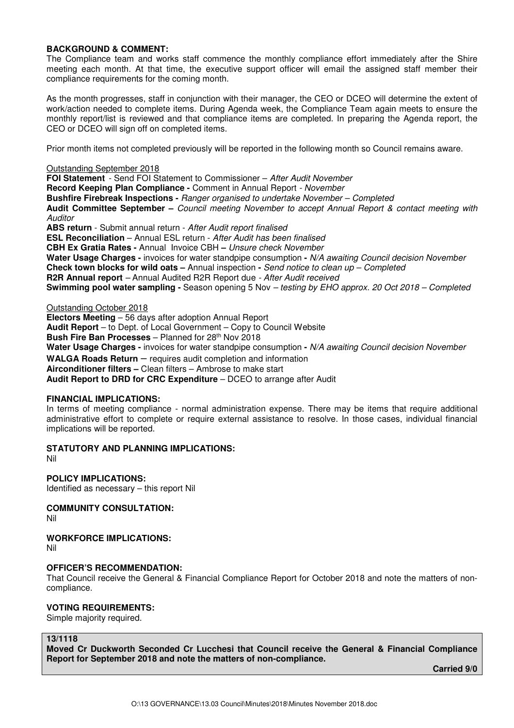#### **BACKGROUND & COMMENT:**

The Compliance team and works staff commence the monthly compliance effort immediately after the Shire meeting each month. At that time, the executive support officer will email the assigned staff member their compliance requirements for the coming month.

As the month progresses, staff in conjunction with their manager, the CEO or DCEO will determine the extent of work/action needed to complete items. During Agenda week, the Compliance Team again meets to ensure the monthly report/list is reviewed and that compliance items are completed. In preparing the Agenda report, the CEO or DCEO will sign off on completed items.

Prior month items not completed previously will be reported in the following month so Council remains aware.

#### Outstanding September 2018

**FOI Statement** - Send FOI Statement to Commissioner – After Audit November **Record Keeping Plan Compliance -** Comment in Annual Report - November **Bushfire Firebreak Inspections -** Ranger organised to undertake November – Completed **Audit Committee September –** Council meeting November to accept Annual Report & contact meeting with **Auditor ABS return** - Submit annual return - After Audit report finalised **ESL Reconciliation** – Annual ESL return - After Audit has been finalised **CBH Ex Gratia Rates -** Annual Invoice CBH **–** Unsure check November **Water Usage Charges -** invoices for water standpipe consumption **-** N/A awaiting Council decision November **Check town blocks for wild oats –** Annual inspection **-** Send notice to clean up – Completed **R2R Annual report** – Annual Audited R2R Report due - After Audit received **Swimming pool water sampling -** Season opening 5 Nov – testing by EHO approx. 20 Oct 2018 – Completed

#### Outstanding October 2018

**Electors Meeting** – 56 days after adoption Annual Report **Audit Report** – to Dept. of Local Government – Copy to Council Website **Bush Fire Ban Processes** – Planned for 28th Nov 2018 **Water Usage Charges -** invoices for water standpipe consumption **-** N/A awaiting Council decision November **WALGA Roads Return** – requires audit completion and information **Airconditioner filters –** Clean filters – Ambrose to make start **Audit Report to DRD for CRC Expenditure** – DCEO to arrange after Audit

#### **FINANCIAL IMPLICATIONS:**

In terms of meeting compliance - normal administration expense. There may be items that require additional administrative effort to complete or require external assistance to resolve. In those cases, individual financial implications will be reported.

### **STATUTORY AND PLANNING IMPLICATIONS:**

Nil

**POLICY IMPLICATIONS:**  Identified as necessary – this report Nil

**COMMUNITY CONSULTATION:** 

Nil

**WORKFORCE IMPLICATIONS:** 

Nil

#### **OFFICER'S RECOMMENDATION:**

That Council receive the General & Financial Compliance Report for October 2018 and note the matters of noncompliance.

#### **VOTING REQUIREMENTS:**

Simple majority required.

### **13/1118**

**Moved Cr Duckworth Seconded Cr Lucchesi that Council receive the General & Financial Compliance Report for September 2018 and note the matters of non-compliance.** 

 *Carried 9/0* $\sim$  **2000**  $\sim$  **2000**  $\sim$  **2000**  $\sim$  **2000**  $\sim$  **2000**  $\sim$  **2000**  $\sim$  **2000**  $\sim$  **2000**  $\sim$  **2000**  $\sim$  **2000**  $\sim$  **2000**  $\sim$  **2000**  $\sim$  **2000**  $\sim$  **2000**  $\sim$  **2000**  $\sim$  **2000**  $\sim$  **2000**  $\sim$  **2000**  $\sim$  **2000**  $\sim$  **2000**  $\sim$  **2**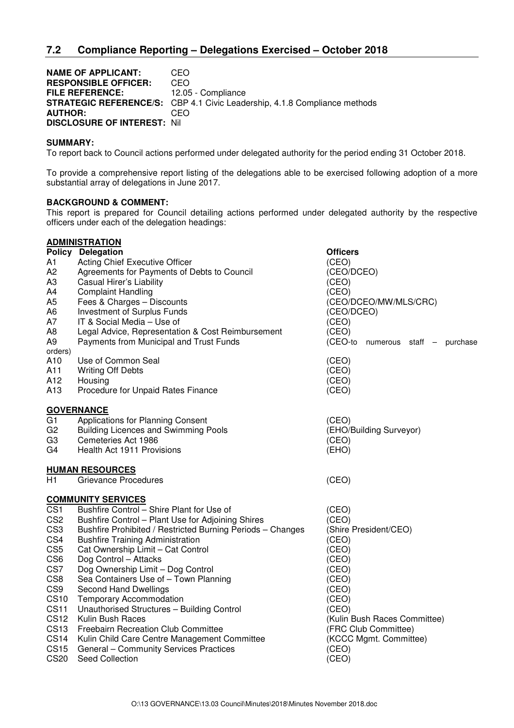**NAME OF APPLICANT: CEO<br>
RESPONSIBLE OFFICER: CEO RESPONSIBLE OFFICER: FILE REFERENCE:** 12.05 - Compliance **STRATEGIC REFERENCE/S:** CBP 4.1 Civic Leadership, 4.1.8 Compliance methods **AUTHOR:** CEO **DISCLOSURE OF INTEREST:** Nil

#### **SUMMARY:**

To report back to Council actions performed under delegated authority for the period ending 31 October 2018.

To provide a comprehensive report listing of the delegations able to be exercised following adoption of a more substantial array of delegations in June 2017.

## **BACKGROUND & COMMENT:**

This report is prepared for Council detailing actions performed under delegated authority by the respective officers under each of the delegation headings:

|                  | <b>ADMINISTRATION</b>                                      |                                         |
|------------------|------------------------------------------------------------|-----------------------------------------|
|                  | Policy Delegation                                          | <b>Officers</b>                         |
| A1               | Acting Chief Executive Officer                             | (CEO)                                   |
| A <sub>2</sub>   | Agreements for Payments of Debts to Council                | (CEO/DCEO)                              |
| A <sub>3</sub>   | Casual Hirer's Liability                                   | (CEO)                                   |
| A4               | <b>Complaint Handling</b>                                  | (CEO)                                   |
| A <sub>5</sub>   | Fees & Charges - Discounts                                 | (CEO/DCEO/MW/MLS/CRC)                   |
| A6               | Investment of Surplus Funds                                | (CEO/DCEO)                              |
| A7               | IT & Social Media - Use of                                 | (CEO)                                   |
| A <sub>8</sub>   | Legal Advice, Representation & Cost Reimbursement          | (CEO)                                   |
| A <sub>9</sub>   | Payments from Municipal and Trust Funds                    | (CEO-to<br>numerous staff -<br>purchase |
| orders)          |                                                            |                                         |
| A10              | Use of Common Seal                                         | (CEO)                                   |
| A11              | <b>Writing Off Debts</b>                                   | (CEO)                                   |
| A12              | Housing                                                    | (CEO)                                   |
| A <sub>13</sub>  | Procedure for Unpaid Rates Finance                         | (CEO)                                   |
|                  | <b>GOVERNANCE</b>                                          |                                         |
| G1               | Applications for Planning Consent                          | (CEO)                                   |
| G <sub>2</sub>   | <b>Building Licences and Swimming Pools</b>                | (EHO/Building Surveyor)                 |
| G <sub>3</sub>   | Cemeteries Act 1986                                        | (CEO)                                   |
| G4               | Health Act 1911 Provisions                                 | (EHO)                                   |
|                  | <b>HUMAN RESOURCES</b>                                     |                                         |
| H1               | <b>Grievance Procedures</b>                                | (CEO)                                   |
|                  | <b>COMMUNITY SERVICES</b>                                  |                                         |
| CS <sub>1</sub>  | Bushfire Control - Shire Plant for Use of                  | (CEO)                                   |
| CS <sub>2</sub>  | Bushfire Control - Plant Use for Adjoining Shires          | (CEO)                                   |
| CS <sub>3</sub>  | Bushfire Prohibited / Restricted Burning Periods - Changes | (Shire President/CEO)                   |
| CS4              | <b>Bushfire Training Administration</b>                    | (CEO)                                   |
| CS <sub>5</sub>  | Cat Ownership Limit - Cat Control                          | (CEO)                                   |
| CS <sub>6</sub>  | Dog Control - Attacks                                      | (CEO)                                   |
| CS7              | Dog Ownership Limit - Dog Control                          | (CEO)                                   |
| CS <sub>8</sub>  | Sea Containers Use of - Town Planning                      | (CEO)                                   |
| CS <sub>9</sub>  | Second Hand Dwellings                                      | (CEO)                                   |
| <b>CS10</b>      | <b>Temporary Accommodation</b>                             | (CEO)                                   |
| <b>CS11</b>      | Unauthorised Structures - Building Control                 | (CEO)                                   |
| <b>CS12</b>      | Kulin Bush Races                                           | (Kulin Bush Races Committee)            |
| <b>CS13</b>      | Freebairn Recreation Club Committee                        | (FRC Club Committee)                    |
| <b>CS14</b>      | Kulin Child Care Centre Management Committee               | (KCCC Mgmt. Committee)                  |
| CS <sub>15</sub> | General - Community Services Practices                     | (CEO)                                   |
| <b>CS20</b>      | Seed Collection                                            | (CEO)                                   |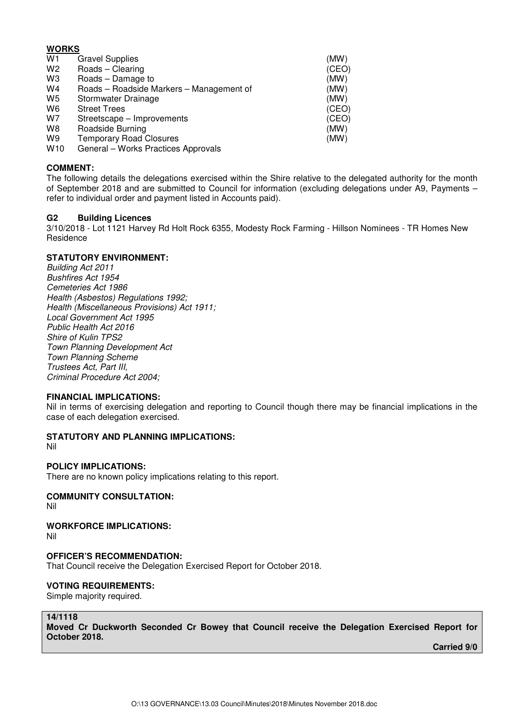## **WORKS**

| W <sub>1</sub> | <b>Gravel Supplies</b>                   | (MW)  |
|----------------|------------------------------------------|-------|
| W <sub>2</sub> | Roads - Clearing                         | (CEO) |
| W3             | Roads - Damage to                        | (MW)  |
| W4             | Roads - Roadside Markers - Management of | (MW)  |
| W5             | Stormwater Drainage                      | (MW)  |
| W6             | <b>Street Trees</b>                      | (CEO) |
| W7             | Streetscape – Improvements               | (CEO) |
| W8             | Roadside Burning                         | (MW)  |
| W9             | <b>Temporary Road Closures</b>           | (MW)  |
| M110           | Conoral Morke Practices Approvals        |       |

W10 General – Works Practices Approvals

#### **COMMENT:**

The following details the delegations exercised within the Shire relative to the delegated authority for the month of September 2018 and are submitted to Council for information (excluding delegations under A9, Payments – refer to individual order and payment listed in Accounts paid).

#### **G2 Building Licences**

3/10/2018 - Lot 1121 Harvey Rd Holt Rock 6355, Modesty Rock Farming - Hillson Nominees - TR Homes New Residence

#### **STATUTORY ENVIRONMENT:**

Building Act 2011 Bushfires Act 1954 Cemeteries Act 1986 Health (Asbestos) Regulations 1992; Health (Miscellaneous Provisions) Act 1911; Local Government Act 1995 Public Health Act 2016 Shire of Kulin TPS2 Town Planning Development Act Town Planning Scheme Trustees Act, Part III, Criminal Procedure Act 2004;

#### **FINANCIAL IMPLICATIONS:**

Nil in terms of exercising delegation and reporting to Council though there may be financial implications in the case of each delegation exercised.

**STATUTORY AND PLANNING IMPLICATIONS:** 

Nil

#### **POLICY IMPLICATIONS:**

There are no known policy implications relating to this report.

## **COMMUNITY CONSULTATION:**

Nil

## **WORKFORCE IMPLICATIONS:**

Nil

#### **OFFICER'S RECOMMENDATION:**

That Council receive the Delegation Exercised Report for October 2018.

#### **VOTING REQUIREMENTS:**

Simple majority required.

#### **14/1118**

**Moved Cr Duckworth Seconded Cr Bowey that Council receive the Delegation Exercised Report for October 2018.**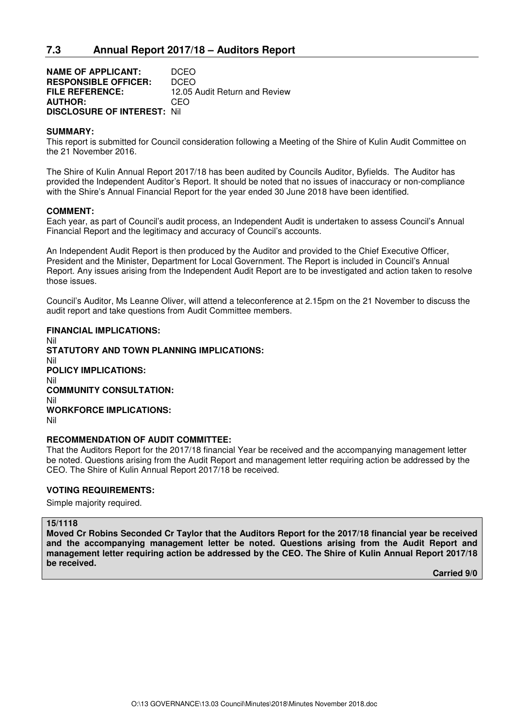**NAME OF APPLICANT:** DCEO **RESPONSIBLE OFFICER:** DCEO **FILE REFERENCE:** 12.05 Audit Return and Review **AUTHOR:** CEO **DISCLOSURE OF INTEREST:** Nil

#### **SUMMARY:**

This report is submitted for Council consideration following a Meeting of the Shire of Kulin Audit Committee on the 21 November 2016.

The Shire of Kulin Annual Report 2017/18 has been audited by Councils Auditor, Byfields. The Auditor has provided the Independent Auditor's Report. It should be noted that no issues of inaccuracy or non-compliance with the Shire's Annual Financial Report for the year ended 30 June 2018 have been identified.

#### **COMMENT:**

Each year, as part of Council's audit process, an Independent Audit is undertaken to assess Council's Annual Financial Report and the legitimacy and accuracy of Council's accounts.

An Independent Audit Report is then produced by the Auditor and provided to the Chief Executive Officer, President and the Minister, Department for Local Government. The Report is included in Council's Annual Report. Any issues arising from the Independent Audit Report are to be investigated and action taken to resolve those issues.

Council's Auditor, Ms Leanne Oliver, will attend a teleconference at 2.15pm on the 21 November to discuss the audit report and take questions from Audit Committee members.

#### **FINANCIAL IMPLICATIONS:**

Nil **STATUTORY AND TOWN PLANNING IMPLICATIONS:**  Nil **POLICY IMPLICATIONS:** Nil **COMMUNITY CONSULTATION:** Nil **WORKFORCE IMPLICATIONS:** Nil

#### **RECOMMENDATION OF AUDIT COMMITTEE:**

That the Auditors Report for the 2017/18 financial Year be received and the accompanying management letter be noted. Questions arising from the Audit Report and management letter requiring action be addressed by the CEO. The Shire of Kulin Annual Report 2017/18 be received.

#### **VOTING REQUIREMENTS:**

Simple majority required.

#### **15/1118**

**Moved Cr Robins Seconded Cr Taylor that the Auditors Report for the 2017/18 financial year be received and the accompanying management letter be noted. Questions arising from the Audit Report and management letter requiring action be addressed by the CEO. The Shire of Kulin Annual Report 2017/18 be received.**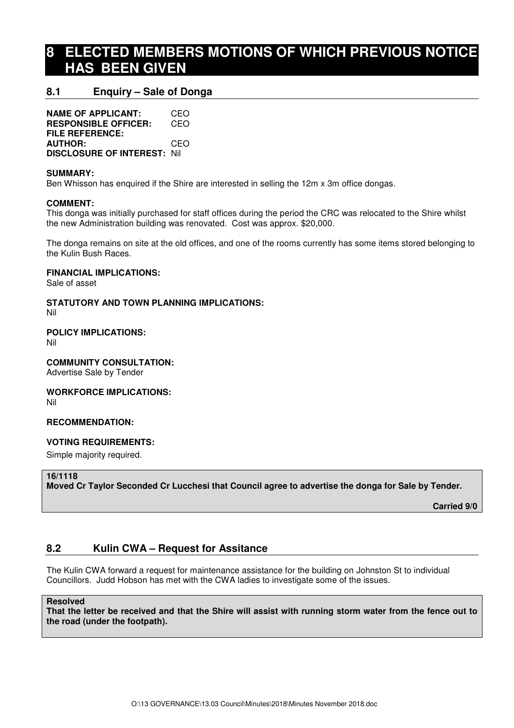## **8 ELECTED MEMBERS MOTIONS OF WHICH PREVIOUS NOTICE HAS BEEN GIVEN**

## **8.1 Enquiry – Sale of Donga**

**NAME OF APPLICANT:** CEO **RESPONSIBLE OFFICER:** CEO **FILE REFERENCE: AUTHOR:** CEO **DISCLOSURE OF INTEREST:** Nil

### **SUMMARY:**

Ben Whisson has enquired if the Shire are interested in selling the 12m x 3m office dongas.

#### **COMMENT:**

This donga was initially purchased for staff offices during the period the CRC was relocated to the Shire whilst the new Administration building was renovated. Cost was approx. \$20,000.

The donga remains on site at the old offices, and one of the rooms currently has some items stored belonging to the Kulin Bush Races.

#### **FINANCIAL IMPLICATIONS:**

Sale of asset

**STATUTORY AND TOWN PLANNING IMPLICATIONS:**  Nil

**POLICY IMPLICATIONS:**

Nil

#### **COMMUNITY CONSULTATION:**

Advertise Sale by Tender

#### **WORKFORCE IMPLICATIONS:**

Nil

#### **RECOMMENDATION:**

## **VOTING REQUIREMENTS:**

Simple majority required.

#### **16/1118**

**Moved Cr Taylor Seconded Cr Lucchesi that Council agree to advertise the donga for Sale by Tender.** 

 **Carried 9/0** 

## **8.2 Kulin CWA – Request for Assitance**

The Kulin CWA forward a request for maintenance assistance for the building on Johnston St to individual Councillors. Judd Hobson has met with the CWA ladies to investigate some of the issues.

#### **Resolved**

**That the letter be received and that the Shire will assist with running storm water from the fence out to the road (under the footpath).**